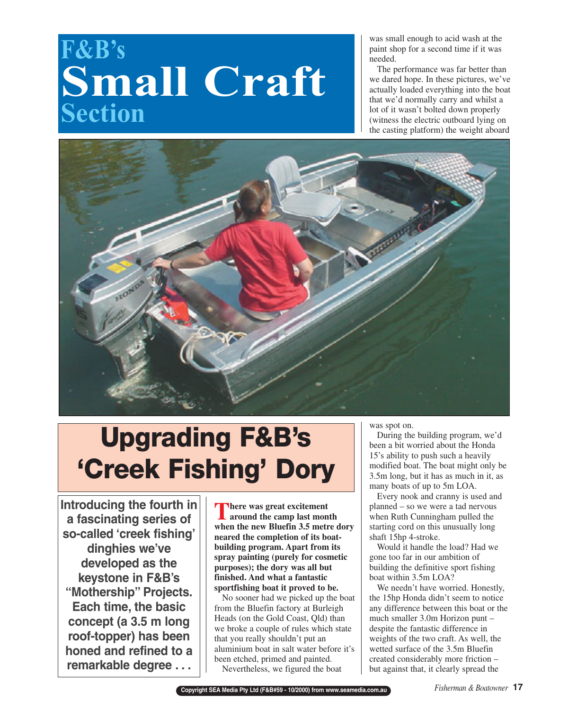## **F&B's Small Craft Section**

was small enough to acid wash at the paint shop for a second time if it was needed.

The performance was far better than we dared hope. In these pictures, we've actually loaded everything into the boat that we'd normally carry and whilst a lot of it wasn't bolted down properly (witness the electric outboard lying on the casting platform) the weight aboard



# **Upgrading F&B's 'Creek Fishing' Dory**

**Introducing the fourth in a fascinating series of so-called 'creek fishing' dinghies we've developed as the keystone in F&B's "Mothership" Projects. Each time, the basic concept (a 3.5 m long roof-topper) has been honed and refined to a remarkable degree . . .**

**There was great excitement**<br>around the camp last mon **around the camp last month when the new Bluefin 3.5 metre dory neared the completion of its boatbuilding program. Apart from its spray painting (purely for cosmetic purposes); the dory was all but finished. And what a fantastic sportfishing boat it proved to be.** 

No sooner had we picked up the boat from the Bluefin factory at Burleigh Heads (on the Gold Coast, Qld) than we broke a couple of rules which state that you really shouldn't put an aluminium boat in salt water before it's been etched, primed and painted.

Nevertheless, we figured the boat

was spot on.

During the building program, we'd been a bit worried about the Honda 15's ability to push such a heavily modified boat. The boat might only be 3.5m long, but it has as much in it, as many boats of up to 5m LOA.

Every nook and cranny is used and planned – so we were a tad nervous when Ruth Cunningham pulled the starting cord on this unusually long shaft 15hp 4-stroke.

Would it handle the load? Had we gone too far in our ambition of building the definitive sport fishing boat within 3.5m LOA?

We needn't have worried. Honestly, the 15hp Honda didn't seem to notice any difference between this boat or the much smaller 3.0m Horizon punt – despite the fantastic difference in weights of the two craft. As well, the wetted surface of the 3.5m Bluefin created considerably more friction – but against that, it clearly spread the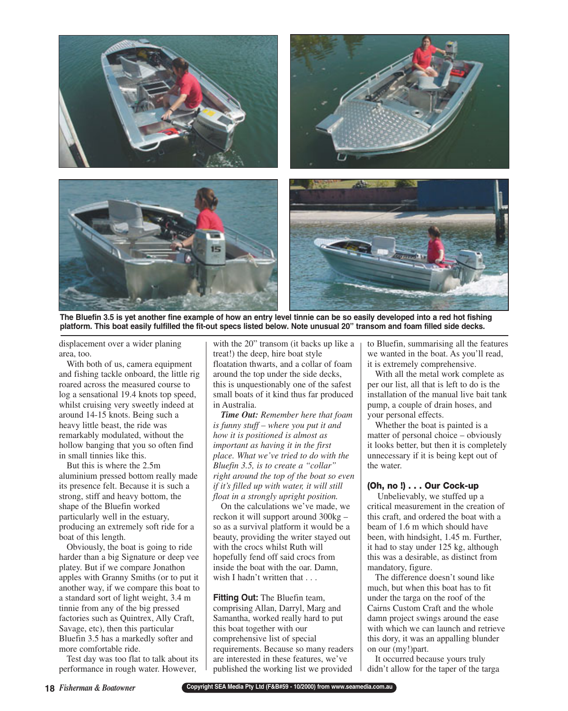

**The Bluefin 3.5 is yet another fine example of how an entry level tinnie can be so easily developed into a red hot fishing platform. This boat easily fulfilled the fit-out specs listed below. Note unusual 20" transom and foam filled side decks.** 

displacement over a wider planing area, too.

With both of us, camera equipment and fishing tackle onboard, the little rig roared across the measured course to log a sensational 19.4 knots top speed, whilst cruising very sweetly indeed at around 14-15 knots. Being such a heavy little beast, the ride was remarkably modulated, without the hollow banging that you so often find in small tinnies like this.

But this is where the 2.5m aluminium pressed bottom really made its presence felt. Because it is such a strong, stiff and heavy bottom, the shape of the Bluefin worked particularly well in the estuary, producing an extremely soft ride for a boat of this length.

Obviously, the boat is going to ride harder than a big Signature or deep vee platey. But if we compare Jonathon apples with Granny Smiths (or to put it another way, if we compare this boat to a standard sort of light weight, 3.4 m tinnie from any of the big pressed factories such as Quintrex, Ally Craft, Savage, etc), then this particular Bluefin 3.5 has a markedly softer and more comfortable ride.

Test day was too flat to talk about its performance in rough water. However,

with the 20" transom (it backs up like a treat!) the deep, hire boat style floatation thwarts, and a collar of foam around the top under the side decks, this is unquestionably one of the safest small boats of it kind thus far produced in Australia.

*Time Out: Remember here that foam is funny stuff – where you put it and how it is positioned is almost as important as having it in the first place. What we've tried to do with the Bluefin 3.5, is to create a "collar" right around the top of the boat so even if it's filled up with water, it will still float in a strongly upright position.*

On the calculations we've made, we reckon it will support around 300kg – so as a survival platform it would be a beauty, providing the writer stayed out with the crocs whilst Ruth will hopefully fend off said crocs from inside the boat with the oar. Damn, wish I hadn't written that . . .

**Fitting Out:** The Bluefin team, comprising Allan, Darryl, Marg and Samantha, worked really hard to put this boat together with our comprehensive list of special requirements. Because so many readers are interested in these features, we've published the working list we provided

to Bluefin, summarising all the features we wanted in the boat. As you'll read, it is extremely comprehensive.

With all the metal work complete as per our list, all that is left to do is the installation of the manual live bait tank pump, a couple of drain hoses, and your personal effects.

Whether the boat is painted is a matter of personal choice – obviously it looks better, but then it is completely unnecessary if it is being kept out of the water.

#### **(Oh, no !) . . . Our Cock-up**

Unbelievably, we stuffed up a critical measurement in the creation of this craft, and ordered the boat with a beam of 1.6 m which should have been, with hindsight, 1.45 m. Further, it had to stay under 125 kg, although this was a desirable, as distinct from mandatory, figure.

The difference doesn't sound like much, but when this boat has to fit under the targa on the roof of the Cairns Custom Craft and the whole damn project swings around the ease with which we can launch and retrieve this dory, it was an appalling blunder on our (my!)part.

It occurred because yours truly didn't allow for the taper of the targa